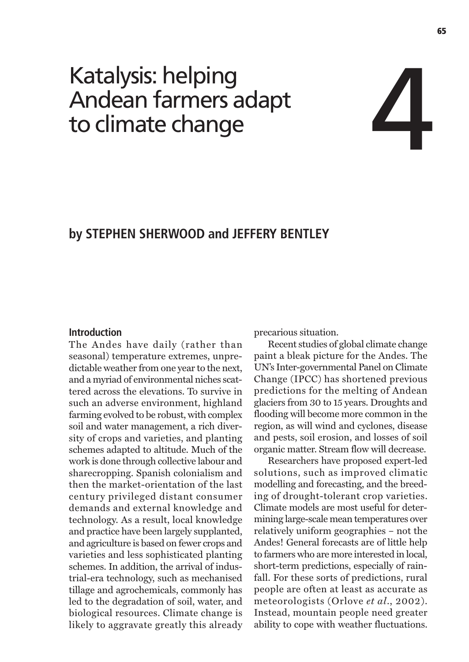# Katalysis: helping Andean farmers adapt to climate change

## by STEPHEN SHERWOOD and JEFFERY BENTLEY

#### **Introduction**

The Andes have daily (rather than seasonal) temperature extremes, unpredictable weather from one year to the next, and a myriad of environmental niches scattered across the elevations. To survive in such an adverse environment, highland farming evolved to be robust, with complex soil and water management, a rich diversity of crops and varieties, and planting schemes adapted to altitude. Much of the work is done through collective labour and sharecropping. Spanish colonialism and then the market-orientation of the last century privileged distant consumer demands and external knowledge and technology. As a result, local knowledge and practice have been largely supplanted, and agriculture is based on fewer crops and varieties and less sophisticated planting schemes. In addition, the arrival of industrial-era technology, such as mechanised tillage and agrochemicals, commonly has led to the degradation of soil, water, and biological resources. Climate change is likely to aggravate greatly this already precarious situation.

Recent studies of global climate change paint a bleak picture for the Andes. The UN's Inter-governmental Panel on Climate Change (IPCC) has shortened previous predictions for the melting of Andean glaciers from 30 to 15 years. Droughts and flooding will become more common in the region, as will wind and cyclones, disease and pests, soil erosion, and losses of soil organic matter. Stream flow will decrease.

Researchers have proposed expert-led solutions, such as improved climatic modelling and forecasting, and the breeding of drought-tolerant crop varieties. Climate models are most useful for determining large-scale mean temperatures over relatively uniform geographies - not the Andes! General forecasts are of little help to farmers who are more interested in local, short-term predictions, especially of rainfall. For these sorts of predictions, rural people are often at least as accurate as meteorologists (Orlove et al., 2002). Instead, mountain people need greater ability to cope with weather fluctuations.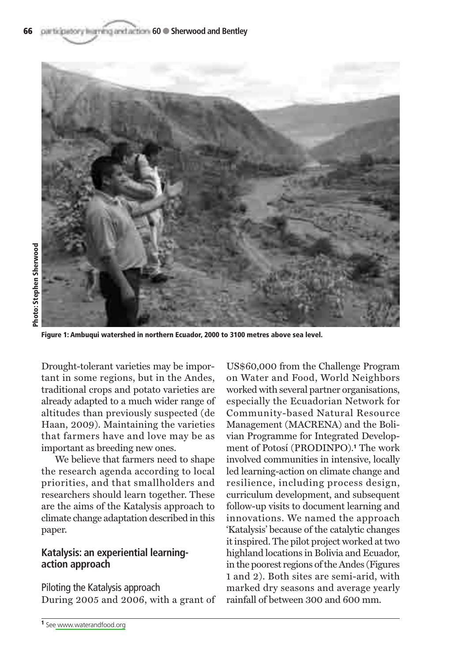

Figure 1: Ambuqui watershed in northern Ecuador, 2000 to 3100 metres above sea level.

Drought-tolerant varieties may be important in some regions, but in the Andes. traditional crops and potato varieties are already adapted to a much wider range of altitudes than previously suspected (de Haan, 2009). Maintaining the varieties that farmers have and love may be as important as breeding new ones.

We believe that farmers need to shape the research agenda according to local priorities, and that smallholders and researchers should learn together. These are the aims of the Katalysis approach to climate change adaptation described in this paper.

#### Katalysis: an experiential learningaction approach

Piloting the Katalysis approach During 2005 and 2006, with a grant of US\$60,000 from the Challenge Program on Water and Food, World Neighbors worked with several partner organisations. especially the Ecuadorian Network for Community-based Natural Resource Management (MACRENA) and the Bolivian Programme for Integrated Development of Potosí (PRODINPO).<sup>1</sup> The work involved communities in intensive, locally led learning-action on climate change and resilience, including process design, curriculum development, and subsequent follow-up visits to document learning and innovations. We named the approach 'Katalysis' because of the catalytic changes it inspired. The pilot project worked at two highland locations in Bolivia and Ecuador, in the poorest regions of the Andes (Figures 1 and 2). Both sites are semi-arid, with marked dry seasons and average yearly rainfall of between 300 and 600 mm.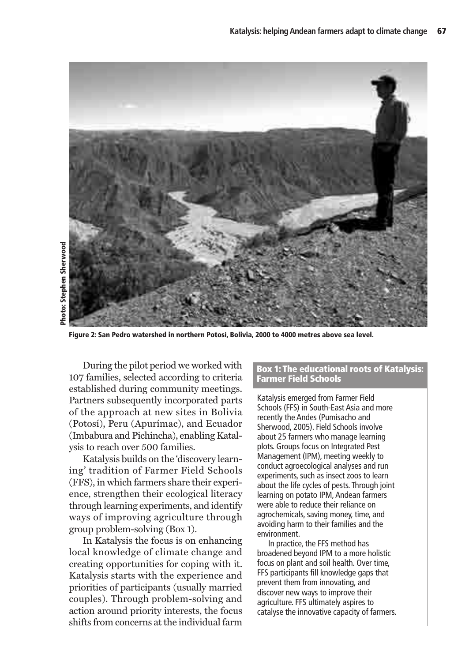

Figure 2: San Pedro watershed in northern Potosí, Bolivia, 2000 to 4000 metres above sea level.

During the pilot period we worked with 107 families, selected according to criteria established during community meetings. Partners subsequently incorporated parts of the approach at new sites in Bolivia (Potosí), Peru (Apurímac), and Ecuador (Imbabura and Pichincha), enabling Katalysis to reach over 500 families.

Katalysis builds on the 'discovery learning' tradition of Farmer Field Schools (FFS), in which farmers share their experience, strengthen their ecological literacy through learning experiments, and identify ways of improving agriculture through group problem-solving (Box 1).

In Katalysis the focus is on enhancing local knowledge of climate change and creating opportunities for coping with it. Katalysis starts with the experience and priorities of participants (usually married couples). Through problem-solving and action around priority interests, the focus shifts from concerns at the individual farm

#### **Box 1: The educational roots of Katalysis: Farmer Field Schools**

Katalysis emerged from Farmer Field Schools (FFS) in South-East Asia and more recently the Andes (Pumisacho and Sherwood, 2005). Field Schools involve about 25 farmers who manage learning plots. Groups focus on Integrated Pest Management (IPM), meeting weekly to conduct agroecological analyses and run experiments, such as insect zoos to learn about the life cycles of pests. Through joint learning on potato IPM, Andean farmers were able to reduce their reliance on agrochemicals, saving money, time, and avoiding harm to their families and the environment.

In practice, the FFS method has broadened beyond IPM to a more holistic focus on plant and soil health. Over time, FFS participants fill knowledge gaps that prevent them from innovating, and discover new ways to improve their agriculture. FFS ultimately aspires to catalyse the innovative capacity of farmers.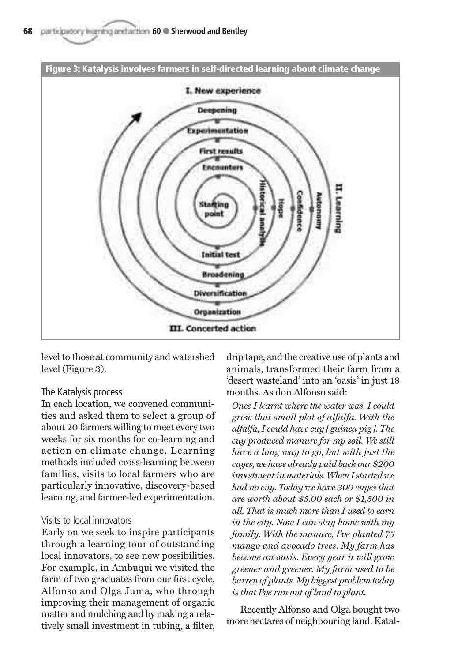

level to those at community and watershed level (Figure 3).

#### The Katalysis process

In each location, we convened communities and asked them to select a group of about 20 farmers willing to meet every two weeks for six months for co-learning and action on climate change. Learning methods included cross-learning between families, visits to local farmers who are particularly innovative, discovery-based learning, and farmer-led experimentation.

#### Visits to local innovators

Early on we seek to inspire participants through a learning tour of outstanding local innovators, to see new possibilities. For example, in Ambuqui we visited the farm of two graduates from our first cycle. Alfonso and Olga Juma, who through improving their management of organic matter and mulching and by making a relatively small investment in tubing, a filter. drip tape, and the creative use of plants and animals, transformed their farm from a 'desert wasteland' into an 'oasis' in just 18 months. As don Alfonso said:

Once I learnt where the water was, I could grow that small plot of alfalfa. With the alfalfa, I could have cuy [guinea pig]. The cuy produced manure for my soil. We still have a long way to go, but with just the cuyes, we have already paid back our \$200 investment in materials. When I started we had no cuy. Today we have 300 cuyes that are worth about \$5.00 each or \$1.500 in all. That is much more than I used to earn in the city. Now I can stay home with my family. With the manure, I've planted 75 mango and avocado trees. My farm has become an oasis. Every year it will grow greener and greener. My farm used to be barren of plants. My biggest problem today is that I've run out of land to plant.

Recently Alfonso and Olga bought two more hectares of neighbouring land. Katal-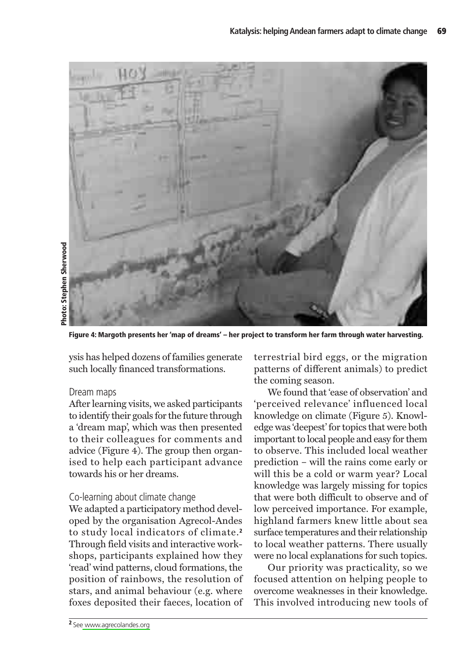

Figure 4: Margoth presents her 'map of dreams' – her project to transform her farm through water harvesting.

ysis has helped dozens of families generate such locally financed transformations.

#### Dream maps

After learning visits, we asked participants to identify their goals for the future through a 'dream map', which was then presented to their colleagues for comments and advice (Figure 4). The group then organised to help each participant advance towards his or her dreams.

#### Co-learning about climate change

We adapted a participatory method developed by the organisation Agrecol-Andes to study local indicators of climate.<sup>2</sup> Through field visits and interactive workshops, participants explained how they 'read' wind patterns, cloud formations, the position of rainbows, the resolution of stars, and animal behaviour (e.g. where foxes deposited their faeces, location of terrestrial bird eggs, or the migration patterns of different animals) to predict the coming season.

We found that 'ease of observation' and 'perceived relevance' influenced local knowledge on climate (Figure 5). Knowledge was 'deepest' for topics that were both important to local people and easy for them to observe. This included local weather prediction – will the rains come early or will this be a cold or warm year? Local knowledge was largely missing for topics that were both difficult to observe and of low perceived importance. For example, highland farmers knew little about sea surface temperatures and their relationship to local weather patterns. There usually were no local explanations for such topics.

Our priority was practicality, so we focused attention on helping people to overcome weaknesses in their knowledge. This involved introducing new tools of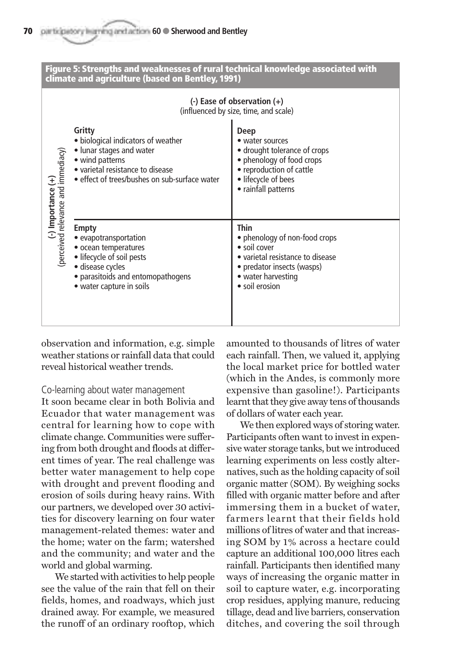

observation and information, e.g. simple weather stations or rainfall data that could reveal historical weather trends

#### Co-learning about water management

It soon became clear in both Bolivia and Ecuador that water management was central for learning how to cope with climate change. Communities were suffering from both drought and floods at different times of year. The real challenge was better water management to help cope with drought and prevent flooding and erosion of soils during heavy rains. With our partners, we developed over 30 activities for discovery learning on four water management-related themes: water and the home; water on the farm; watershed and the community; and water and the world and global warming.

We started with activities to help people see the value of the rain that fell on their fields, homes, and roadways, which just drained away. For example, we measured the runoff of an ordinary rooftop, which amounted to thousands of litres of water each rainfall. Then, we valued it, applying the local market price for bottled water (which in the Andes, is commonly more expensive than gasoline!). Participants learnt that they give away tens of thousands of dollars of water each year.

We then explored ways of storing water. Participants often want to invest in expensive water storage tanks, but we introduced learning experiments on less costly alternatives, such as the holding capacity of soil organic matter (SOM). By weighing socks filled with organic matter before and after immersing them in a bucket of water. farmers learnt that their fields hold millions of litres of water and that increasing SOM by 1% across a hectare could capture an additional 100,000 litres each rainfall. Participants then identified many ways of increasing the organic matter in soil to capture water, e.g. incorporating crop residues, applying manure, reducing tillage, dead and live barriers, conservation ditches, and covering the soil through

70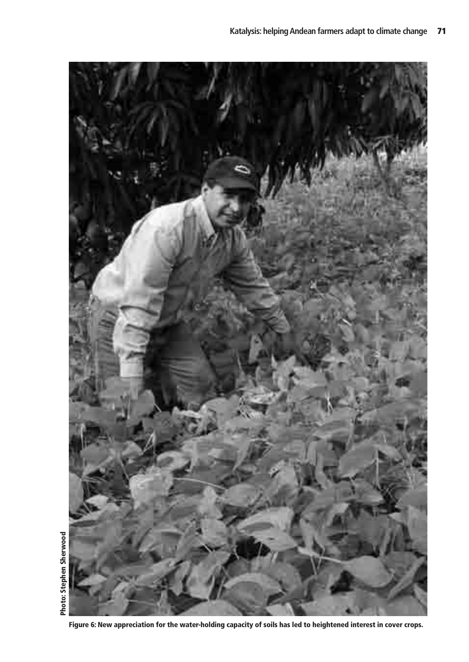

Figure 6: New appreciation for the water-holding capacity of soils has led to heightened interest in cover crops.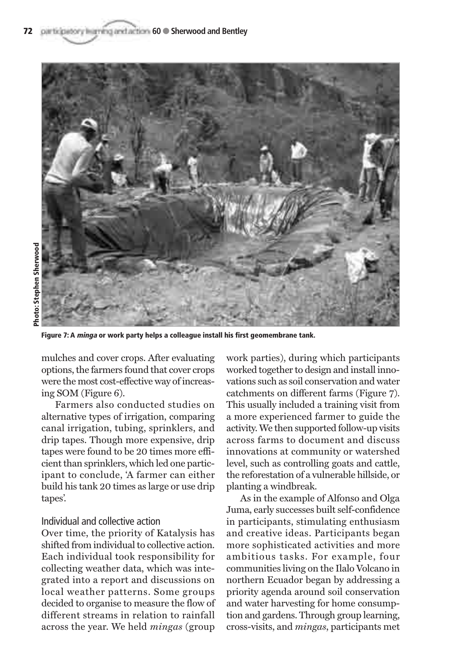

**hoto: Stephen Sherwood** 

Figure 7: A *minga* or work party helps a colleague install his first geomembrane tank.

mulches and cover crops. After evaluating options, the farmers found that cover crops were the most cost-effective way of increasing SOM (Figure  $6$ ).

Farmers also conducted studies on alternative types of irrigation, comparing canal irrigation, tubing, sprinklers, and drip tapes. Though more expensive, drip tapes were found to be 20 times more efficient than sprinklers, which led one participant to conclude. A farmer can either build his tank 20 times as large or use drip tapes'.

#### Individual and collective action

Over time, the priority of Katalysis has shifted from individual to collective action. Each individual took responsibility for collecting weather data, which was integrated into a report and discussions on local weather patterns. Some groups decided to organise to measure the flow of different streams in relation to rainfall across the year. We held *mingas* (group

work parties), during which participants worked together to design and install innovations such as soil conservation and water catchments on different farms (Figure 7). This usually included a training visit from a more experienced farmer to guide the activity. We then supported follow-up visits across farms to document and discuss innovations at community or watershed level, such as controlling goats and cattle. the reforestation of a vulnerable hillside, or planting a windbreak.

As in the example of Alfonso and Olga Juma, early successes built self-confidence in participants, stimulating enthusiasm and creative ideas. Participants began more sophisticated activities and more ambitious tasks. For example, four communities living on the Ilalo Volcano in northern Ecuador began by addressing a priority agenda around soil conservation and water harvesting for home consumption and gardens. Through group learning, cross-visits, and *mingas*, participants met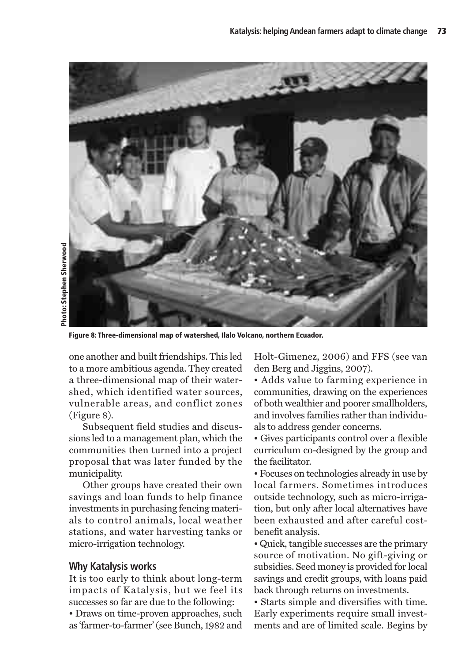

Figure 8: Three-dimensional map of watershed, Ilalo Volcano, northern Ecuador.

one another and built friendships. This led to a more ambitious agenda. They created a three-dimensional map of their watershed, which identified water sources. vulnerable areas, and conflict zones  $(Figure 8)$ .

Subsequent field studies and discussions led to a management plan, which the communities then turned into a project proposal that was later funded by the municipality.

Other groups have created their own savings and loan funds to help finance investments in purchasing fencing materials to control animals, local weather stations, and water harvesting tanks or micro-irrigation technology.

#### **Why Katalysis works**

It is too early to think about long-term impacts of Katalysis, but we feel its successes so far are due to the following:

• Draws on time-proven approaches, such as 'farmer-to-farmer' (see Bunch, 1982 and Holt-Gimenez, 2006) and FFS (see van den Berg and Jiggins, 2007).

• Adds value to farming experience in communities, drawing on the experiences of both wealthier and poorer smallholders, and involves families rather than individuals to address gender concerns.

• Gives participants control over a flexible curriculum co-designed by the group and the facilitator.

• Focuses on technologies already in use by local farmers. Sometimes introduces outside technology, such as micro-irrigation, but only after local alternatives have been exhausted and after careful costbenefit analysis.

• Quick, tangible successes are the primary source of motivation. No gift-giving or subsidies. Seed money is provided for local savings and credit groups, with loans paid back through returns on investments.

• Starts simple and diversifies with time. Early experiments require small investments and are of limited scale. Begins by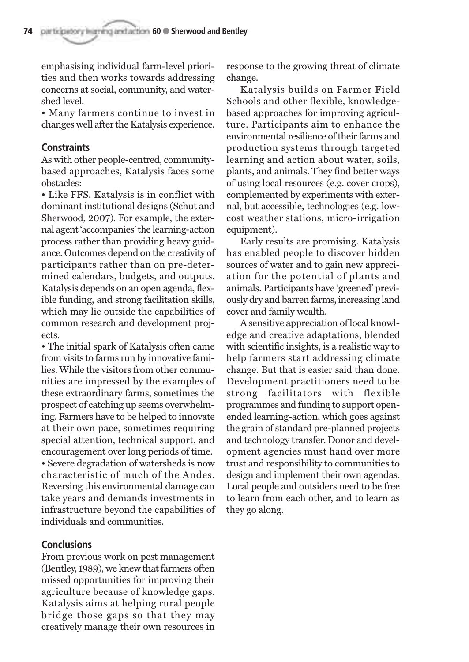emphasising individual farm-level priorities and then works towards addressing concerns at social, community, and water-**Shed** level

• Many farmers continue to invest in changes well after the Katalysis experience.

### **Constraints**

As with other people-centred, communitybased approaches, Katalysis faces some obstacles:

• Like FFS, Katalysis is in conflict with dominant institutional designs (Schut and Sherwood, 2007). For example, the external agent 'accompanies' the learning-action process rather than providing heavy guidance. Outcomes depend on the creativity of participants rather than on pre-determined calendars, budgets, and outputs. Katalysis depends on an open agenda, flexible funding, and strong facilitation skills. which may lie outside the capabilities of common research and development proiects.

• The initial spark of Katalysis often came from visits to farms run by innovative families. While the visitors from other communities are impressed by the examples of these extraordinary farms, sometimes the prospect of catching up seems overwhelming. Farmers have to be helped to innovate at their own pace, sometimes requiring special attention, technical support, and encouragement over long periods of time.

• Severe degradation of watersheds is now characteristic of much of the Andes. Reversing this environmental damage can take years and demands investments in infrastructure bevond the capabilities of individuals and communities.

### **Conclusions**

From previous work on pest management (Bentley, 1989), we knew that farmers often missed opportunities for improving their agriculture because of knowledge gaps. Katalysis aims at helping rural people bridge those gaps so that they may creatively manage their own resources in response to the growing threat of climate change.

Katalysis builds on Farmer Field Schools and other flexible, knowledgebased approaches for improving agriculture. Participants aim to enhance the environmental resilience of their farms and production systems through targeted learning and action about water, soils, plants, and animals. They find better ways of using local resources (e.g. cover crops). complemented by experiments with external, but accessible, technologies (e.g. lowcost weather stations, micro-irrigation equipment).

Early results are promising. Katalysis has enabled people to discover hidden sources of water and to gain new appreciation for the potential of plants and animals. Participants have 'greened' previously dry and barren farms, increasing land cover and family wealth.

A sensitive appreciation of local knowledge and creative adaptations, blended with scientific insights, is a realistic way to help farmers start addressing climate change. But that is easier said than done. Development practitioners need to be strong facilitators with flexible programmes and funding to support openended learning-action, which goes against the grain of standard pre-planned projects and technology transfer. Donor and development agencies must hand over more trust and responsibility to communities to design and implement their own agendas. Local people and outsiders need to be free to learn from each other, and to learn as they go along.